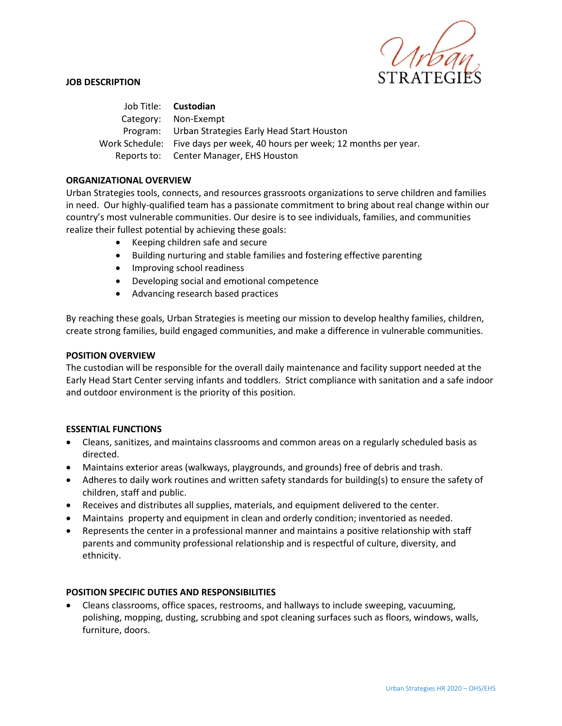

### **JOB DESCRIPTION**

Job Title: **Custodian** Category: Non-Exempt Program: Urban Strategies Early Head Start Houston Work Schedule: Five days per week, 40 hours per week; 12 months per year. Reports to: Center Manager, EHS Houston

# **ORGANIZATIONAL OVERVIEW**

Urban Strategies tools, connects, and resources grassroots organizations to serve children and families in need. Our highly-qualified team has a passionate commitment to bring about real change within our country's most vulnerable communities. Our desire is to see individuals, families, and communities realize their fullest potential by achieving these goals:

- Keeping children safe and secure
- Building nurturing and stable families and fostering effective parenting
- Improving school readiness
- Developing social and emotional competence
- Advancing research based practices

By reaching these goals, Urban Strategies is meeting our mission to develop healthy families, children, create strong families, build engaged communities, and make a difference in vulnerable communities.

### **POSITION OVERVIEW**

The custodian will be responsible for the overall daily maintenance and facility support needed at the Early Head Start Center serving infants and toddlers. Strict compliance with sanitation and a safe indoor and outdoor environment is the priority of this position.

### **ESSENTIAL FUNCTIONS**

- Cleans, sanitizes, and maintains classrooms and common areas on a regularly scheduled basis as directed.
- Maintains exterior areas (walkways, playgrounds, and grounds) free of debris and trash.
- Adheres to daily work routines and written safety standards for building(s) to ensure the safety of children, staff and public.
- Receives and distributes all supplies, materials, and equipment delivered to the center.
- Maintains property and equipment in clean and orderly condition; inventoried as needed.
- Represents the center in a professional manner and maintains a positive relationship with staff parents and community professional relationship and is respectful of culture, diversity, and ethnicity.

### **POSITION SPECIFIC DUTIES AND RESPONSIBILITIES**

• Cleans classrooms, office spaces, restrooms, and hallways to include sweeping, vacuuming, polishing, mopping, dusting, scrubbing and spot cleaning surfaces such as floors, windows, walls, furniture, doors.